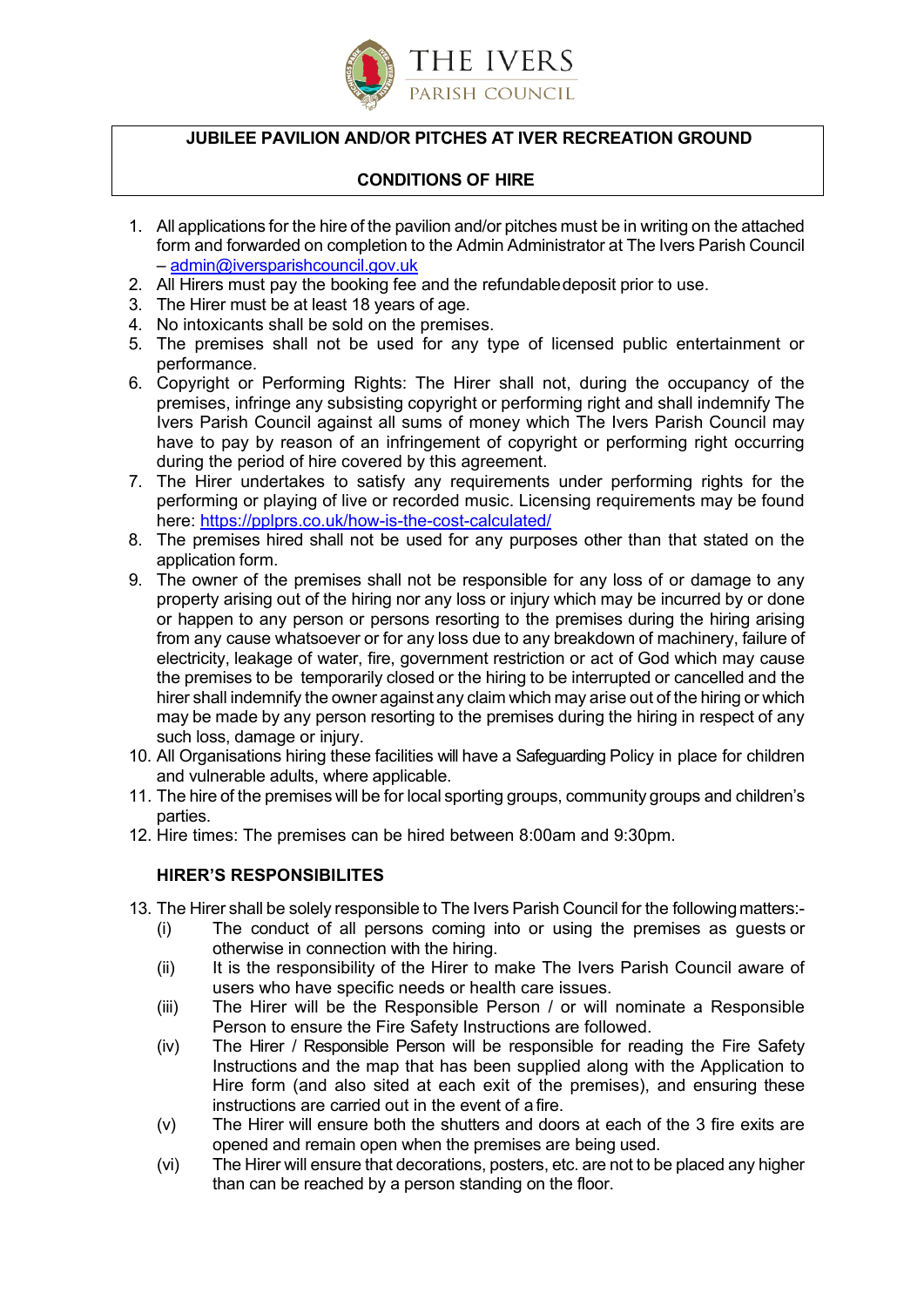

# **JUBILEE PAVILION AND/OR PITCHES AT IVER RECREATION GROUND**

# **CONDITIONS OF HIRE**

- 1. All applications for the hire of the pavilion and/or pitches must be in writing on the attached form and forwarded on completion to the Admin Administrator at The Ivers Parish Council – [admin@iversparishcouncil.gov.uk](mailto:office@iversparishcouncil.gov.uk)
- 2. All Hirers must pay the booking fee and the refundabledeposit prior to use.
- 3. The Hirer must be at least 18 years of age.

 $\overline{a}$ 

- 4. No intoxicants shall be sold on the premises.
- 5. The premises shall not be used for any type of licensed public entertainment or performance.
- 6. Copyright or Performing Rights: The Hirer shall not, during the occupancy of the premises, infringe any subsisting copyright or performing right and shall indemnify The Ivers Parish Council against all sums of money which The Ivers Parish Council may have to pay by reason of an infringement of copyright or performing right occurring during the period of hire covered by this agreement.
- 7. The Hirer undertakes to satisfy any requirements under performing rights for the performing or playing of live or recorded music. Licensing requirements may be found here:<https://pplprs.co.uk/how-is-the-cost-calculated/>
- 8. The premises hired shall not be used for any purposes other than that stated on the application form.
- 9. The owner of the premises shall not be responsible for any loss of or damage to any property arising out of the hiring nor any loss or injury which may be incurred by or done or happen to any person or persons resorting to the premises during the hiring arising from any cause whatsoever or for any loss due to any breakdown of machinery, failure of electricity, leakage of water, fire, government restriction or act of God which may cause the premises to be temporarily closed or the hiring to be interrupted or cancelled and the hirer shall indemnify the owner against any claim which may arise out of the hiring or which may be made by any person resorting to the premises during the hiring in respect of any such loss, damage or injury.
- 10. All Organisations hiring these facilities will have a Safeguarding Policy in place for children and vulnerable adults, where applicable.
- 11. The hire of the premises will be for local sporting groups, community groups and children's parties.
- 12. Hire times: The premises can be hired between 8:00am and 9:30pm.

## **HIRER'S RESPONSIBILITES**

- 13. The Hirer shall be solely responsible to The Ivers Parish Council for the followingmatters:-
	- (i) The conduct of all persons coming into or using the premises as guests or otherwise in connection with the hiring.
	- (ii) It is the responsibility of the Hirer to make The Ivers Parish Council aware of users who have specific needs or health care issues.
	- (iii) The Hirer will be the Responsible Person / or will nominate a Responsible Person to ensure the Fire Safety Instructions are followed.
	- (iv) The Hirer / Responsible Person will be responsible for reading the Fire Safety Instructions and the map that has been supplied along with the Application to Hire form (and also sited at each exit of the premises), and ensuring these instructions are carried out in the event of a fire.
	- (v) The Hirer will ensure both the shutters and doors at each of the 3 fire exits are opened and remain open when the premises are being used.
	- (vi) The Hirer will ensure that decorations, posters, etc. are not to be placed any higher than can be reached by a person standing on the floor.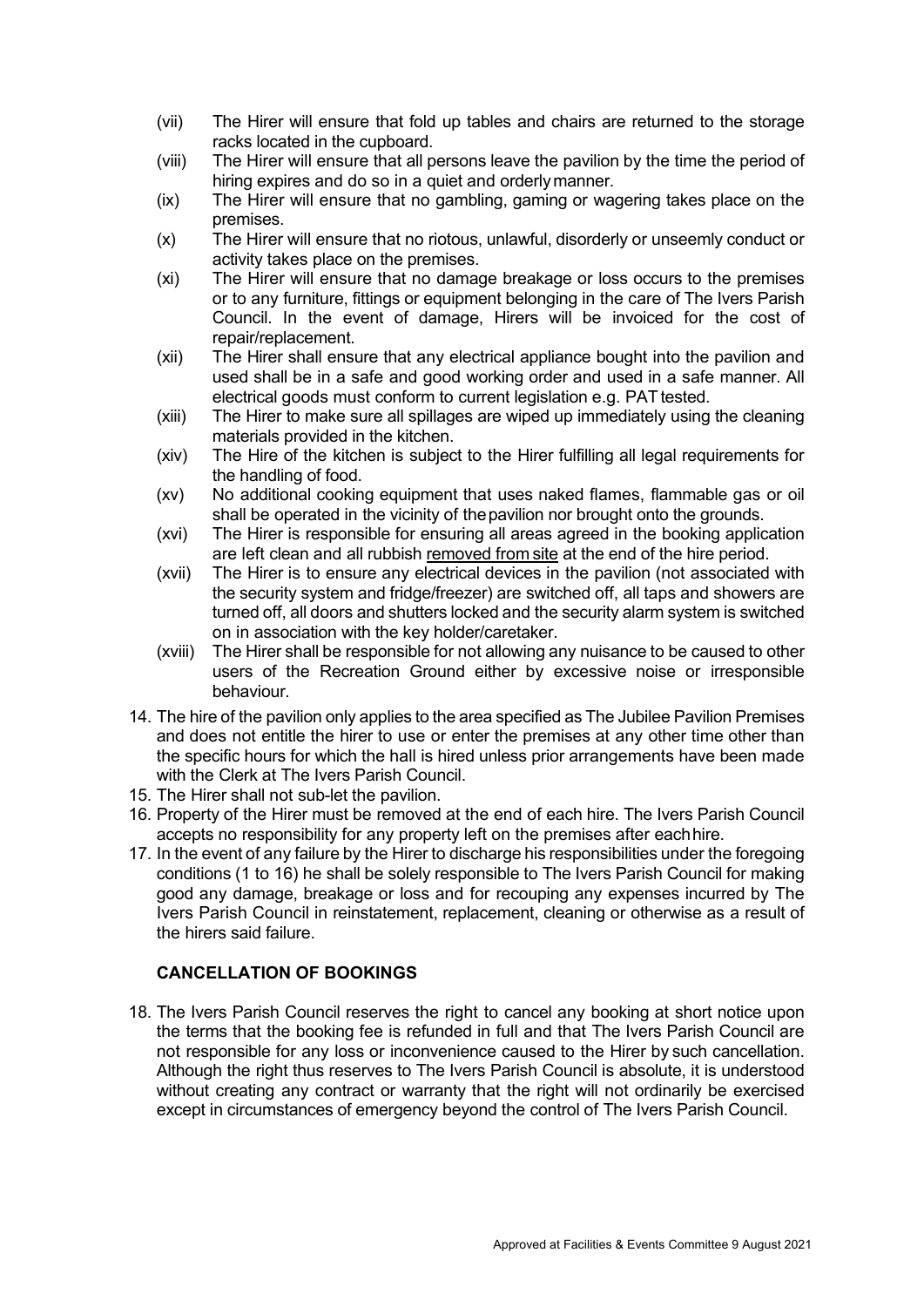- (vii) The Hirer will ensure that fold up tables and chairs are returned to the storage racks located in the cupboard.
- (viii) The Hirer will ensure that all persons leave the pavilion by the time the period of hiring expires and do so in a quiet and orderlymanner.
- (ix) The Hirer will ensure that no gambling, gaming or wagering takes place on the premises.
- (x) The Hirer will ensure that no riotous, unlawful, disorderly or unseemly conduct or activity takes place on the premises.
- (xi) The Hirer will ensure that no damage breakage or loss occurs to the premises or to any furniture, fittings or equipment belonging in the care of The Ivers Parish Council. In the event of damage, Hirers will be invoiced for the cost of repair/replacement.
- (xii) The Hirer shall ensure that any electrical appliance bought into the pavilion and used shall be in a safe and good working order and used in a safe manner. All electrical goods must conform to current legislation e.g. PAT tested.
- (xiii) The Hirer to make sure all spillages are wiped up immediately using the cleaning materials provided in the kitchen.
- (xiv) The Hire of the kitchen is subject to the Hirer fulfilling all legal requirements for the handling of food.
- (xv) No additional cooking equipment that uses naked flames, flammable gas or oil shall be operated in the vicinity of thepavilion nor brought onto the grounds.
- (xvi) The Hirer is responsible for ensuring all areas agreed in the booking application are left clean and all rubbish removed from site at the end of the hire period.
- (xvii) The Hirer is to ensure any electrical devices in the pavilion (not associated with the security system and fridge/freezer) are switched off, all taps and showers are turned off, all doors and shutters locked and the security alarm system is switched on in association with the key holder/caretaker.
- (xviii) The Hirer shall be responsible for not allowing any nuisance to be caused to other users of the Recreation Ground either by excessive noise or irresponsible behaviour.
- 14. The hire of the pavilion only applies to the area specified as The Jubilee Pavilion Premises and does not entitle the hirer to use or enter the premises at any other time other than the specific hours for which the hall is hired unless prior arrangements have been made with the Clerk at The Ivers Parish Council.
- 15. The Hirer shall not sub-let the pavilion.
- 16. Property of the Hirer must be removed at the end of each hire. The Ivers Parish Council accepts no responsibility for any property left on the premises after eachhire.
- 17. In the event of any failure by the Hirer to discharge his responsibilities under the foregoing conditions (1 to 16) he shall be solely responsible to The Ivers Parish Council for making good any damage, breakage or loss and for recouping any expenses incurred by The Ivers Parish Council in reinstatement, replacement, cleaning or otherwise as a result of the hirers said failure.

## **CANCELLATION OF BOOKINGS**

18. The Ivers Parish Council reserves the right to cancel any booking at short notice upon the terms that the booking fee is refunded in full and that The Ivers Parish Council are not responsible for any loss or inconvenience caused to the Hirer by such cancellation. Although the right thus reserves to The Ivers Parish Council is absolute, it is understood without creating any contract or warranty that the right will not ordinarily be exercised except in circumstances of emergency beyond the control of The Ivers Parish Council.